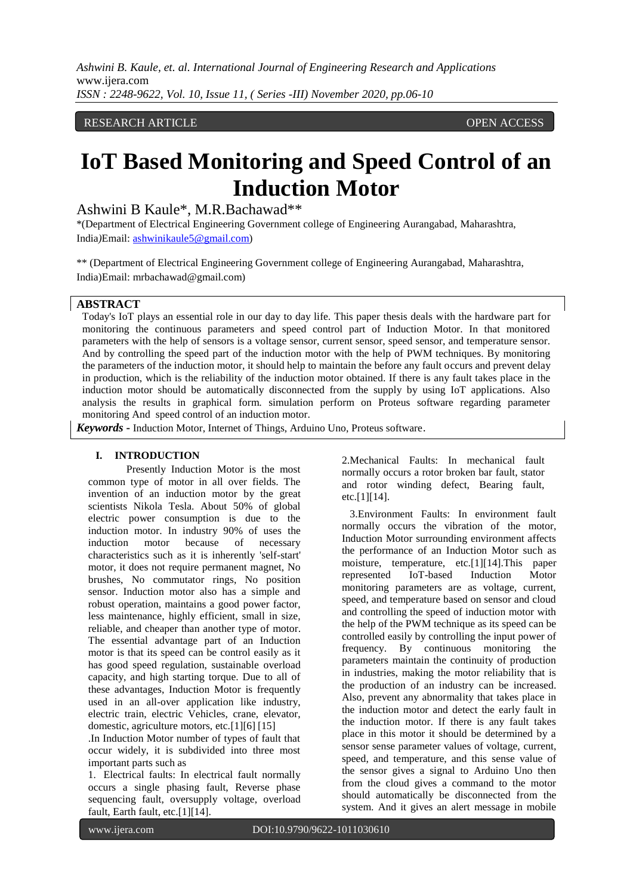# RESEARCH ARTICLE **CONTRACT ARTICLE**

# **IoT Based Monitoring and Speed Control of an Induction Motor**

Ashwini B Kaule\*, M.R.Bachawad\*\*

\*(Department of Electrical Engineering Government college of Engineering Aurangabad, Maharashtra, India*)*Email: [ashwinikaule5@gmail.com\)](mailto:ashwinikaule5@gmail.com)

\*\* (Department of Electrical Engineering Government college of Engineering Aurangabad, Maharashtra, India)Email: mrbachawad@gmail.com)

#### **ABSTRACT**

Today's IoT plays an essential role in our day to day life. This paper thesis deals with the hardware part for monitoring the continuous parameters and speed control part of Induction Motor. In that monitored parameters with the help of sensors is a voltage sensor, current sensor, speed sensor, and temperature sensor. And by controlling the speed part of the induction motor with the help of PWM techniques. By monitoring the parameters of the induction motor, it should help to maintain the before any fault occurs and prevent delay in production, which is the reliability of the induction motor obtained. If there is any fault takes place in the induction motor should be automatically disconnected from the supply by using IoT applications. Also analysis the results in graphical form. simulation perform on Proteus software regarding parameter monitoring And speed control of an induction motor.

*Keywords* **-** Induction Motor, Internet of Things, Arduino Uno, Proteus software.

#### **I. INTRODUCTION**

Presently Induction Motor is the most common type of motor in all over fields. The invention of an induction motor by the great scientists Nikola Tesla. About 50% of global electric power consumption is due to the induction motor. In industry 90% of uses the induction motor because of necessary characteristics such as it is inherently 'self-start' motor, it does not require permanent magnet, No brushes, No commutator rings, No position sensor. Induction motor also has a simple and robust operation, maintains a good power factor, less maintenance, highly efficient, small in size, reliable, and cheaper than another type of motor. The essential advantage part of an Induction motor is that its speed can be control easily as it has good speed regulation, sustainable overload capacity, and high starting torque. Due to all of these advantages, Induction Motor is frequently used in an all-over application like industry, electric train, electric Vehicles, crane, elevator, domestic, agriculture motors, etc.[1][6] [15]

.In Induction Motor number of types of fault that occur widely, it is subdivided into three most important parts such as

1. Electrical faults: In electrical fault normally occurs a single phasing fault, Reverse phase sequencing fault, oversupply voltage, overload fault, Earth fault, etc.[1][14].

2.Mechanical Faults: In mechanical fault normally occurs a rotor broken bar fault, stator and rotor winding defect, Bearing fault, etc.[1][14].

 3.Environment Faults: In environment fault normally occurs the vibration of the motor, Induction Motor surrounding environment affects the performance of an Induction Motor such as moisture, temperature, etc.[1][14].This paper represented IoT-based Induction Motor monitoring parameters are as voltage, current, speed, and temperature based on sensor and cloud and controlling the speed of induction motor with the help of the PWM technique as its speed can be controlled easily by controlling the input power of frequency. By continuous monitoring the parameters maintain the continuity of production in industries, making the motor reliability that is the production of an industry can be increased. Also, prevent any abnormality that takes place in the induction motor and detect the early fault in the induction motor. If there is any fault takes place in this motor it should be determined by a sensor sense parameter values of voltage, current, speed, and temperature, and this sense value of the sensor gives a signal to Arduino Uno then from the cloud gives a command to the motor should automatically be disconnected from the system. And it gives an alert message in mobile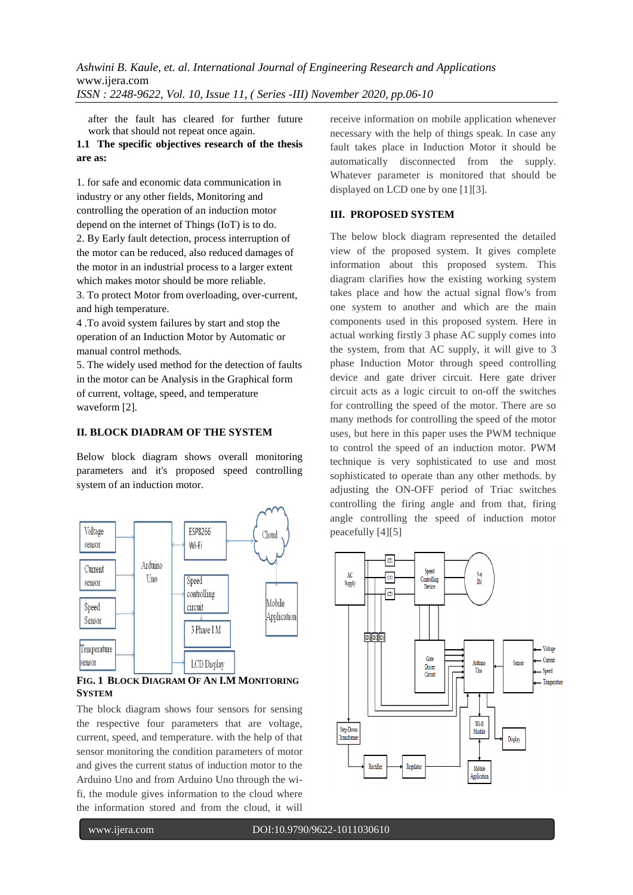after the fault has cleared for further future work that should not repeat once again.

# **1.1 The specific objectives research of the thesis are as:**

1. for safe and economic data communication in industry or any other fields, Monitoring and controlling the operation of an induction motor depend on the internet of Things (IoT) is to do. 2. By Early fault detection, process interruption of the motor can be reduced, also reduced damages of the motor in an industrial process to a larger extent which makes motor should be more reliable.

3. To protect Motor from overloading, over-current, and high temperature.

4 .To avoid system failures by start and stop the operation of an Induction Motor by Automatic or manual control methods.

5. The widely used method for the detection of faults in the motor can be Analysis in the Graphical form of current, voltage, speed, and temperature waveform [2].

#### **II. BLOCK DIADRAM OF THE SYSTEM**

Below block diagram shows overall monitoring parameters and it's proposed speed controlling system of an induction motor.



**FIG. 1 BLOCK DIAGRAM OF AN <b>I.M** MONITORING **SYSTEM**

The block diagram shows four sensors for sensing the respective four parameters that are voltage, current, speed, and temperature. with the help of that sensor monitoring the condition parameters of motor and gives the current status of induction motor to the Arduino Uno and from Arduino Uno through the wifi, the module gives information to the cloud where the information stored and from the cloud, it will

receive information on mobile application whenever necessary with the help of things speak. In case any fault takes place in Induction Motor it should be automatically disconnected from the supply. Whatever parameter is monitored that should be displayed on LCD one by one [1][3].

# **III. PROPOSED SYSTEM**

The below block diagram represented the detailed view of the proposed system. It gives complete information about this proposed system. This diagram clarifies how the existing working system takes place and how the actual signal flow's from one system to another and which are the main components used in this proposed system. Here in actual working firstly 3 phase AC supply comes into the system, from that AC supply, it will give to 3 phase Induction Motor through speed controlling device and gate driver circuit. Here gate driver circuit acts as a logic circuit to on-off the switches for controlling the speed of the motor. There are so many methods for controlling the speed of the motor uses, but here in this paper uses the PWM technique to control the speed of an induction motor. PWM technique is very sophisticated to use and most sophisticated to operate than any other methods. by adjusting the ON-OFF period of Triac switches controlling the firing angle and from that, firing angle controlling the speed of induction motor peacefully [4][5]

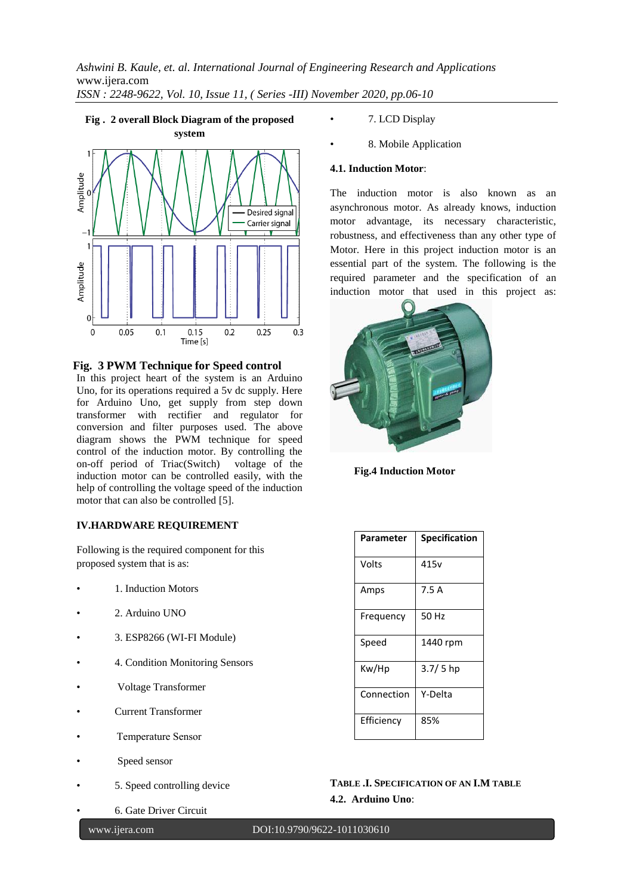# **Fig . 2 overall Block Diagram of the proposed**



**Fig. 3 PWM Technique for Speed control**

In this project heart of the system is an Arduino Uno, for its operations required a 5v dc supply. Here for Arduino Uno, get supply from step down transformer with rectifier and regulator for conversion and filter purposes used. The above diagram shows the PWM technique for speed control of the induction motor. By controlling the on-off period of Triac(Switch) voltage of the induction motor can be controlled easily, with the help of controlling the voltage speed of the induction motor that can also be controlled [5].

# **IV.HARDWARE REQUIREMENT**

Following is the required component for this proposed system that is as:

- 1. Induction Motors
- 2. Arduino UNO
- 3. ESP8266 (WI-FI Module)
- 4. Condition Monitoring Sensors
- Voltage Transformer
- Current Transformer
- Temperature Sensor
- Speed sensor
- 5. Speed controlling device
- 6. Gate Driver Circuit
	-

**3** | P a g e

- 7. LCD Display
- 8. Mobile Application

# **4.1. Induction Motor**:

The induction motor is also known as an asynchronous motor. As already knows, induction motor advantage, its necessary characteristic, robustness, and effectiveness than any other type of Motor. Here in this project induction motor is an essential part of the system. The following is the required parameter and the specification of an induction motor that used in this project as:



 **Fig.4 Induction Motor**

| Parameter  | <b>Specification</b> |
|------------|----------------------|
| Volts      | 415v                 |
| Amps       | 7.5 A                |
| Frequency  | 50 Hz                |
| Speed      | 1440 rpm             |
| Kw/Hp      | $3.7/5$ hp           |
| Connection | Y-Delta              |
| Efficiency | 85%                  |

**TABLE .I. SPECIFICATION OF AN I.M TABLE 4.2. Arduino Uno**:

#### www.ijera.com DOI:10.9790/9622-1011030610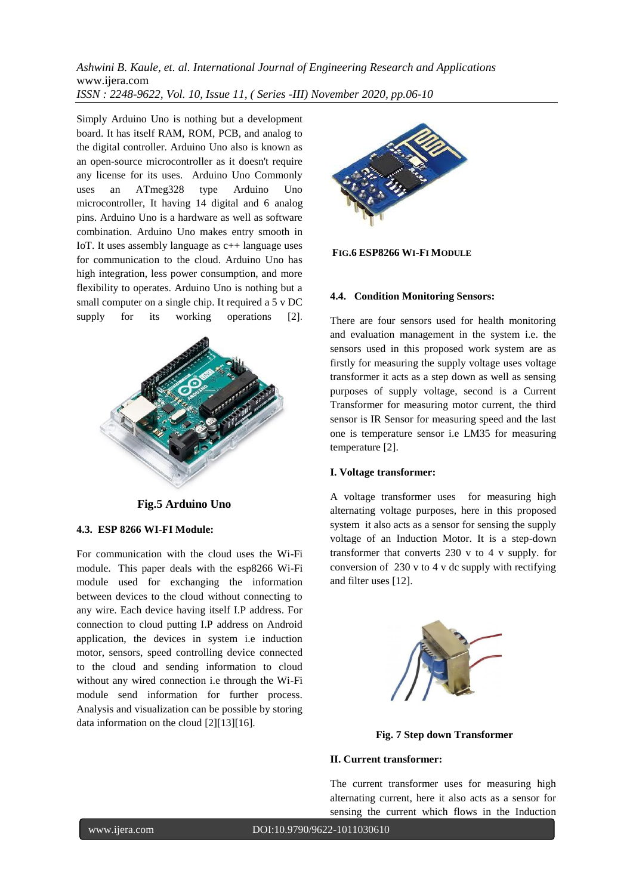Simply Arduino Uno is nothing but a development board. It has itself RAM, ROM, PCB, and analog to the digital controller. Arduino Uno also is known as an open-source microcontroller as it doesn't require any license for its uses. Arduino Uno Commonly uses an ATmeg328 type Arduino Uno microcontroller, It having 14 digital and 6 analog pins. Arduino Uno is a hardware as well as software combination. Arduino Uno makes entry smooth in IoT. It uses assembly language as c++ language uses for communication to the cloud. Arduino Uno has high integration, less power consumption, and more flexibility to operates. Arduino Uno is nothing but a small computer on a single chip. It required a 5 v DC supply for its working operations [2].



**Fig.5 Arduino Uno**

# **4.3. ESP 8266 WI-FI Module:**

For communication with the cloud uses the Wi-Fi module. This paper deals with the esp8266 Wi-Fi module used for exchanging the information between devices to the cloud without connecting to any wire. Each device having itself I.P address. For connection to cloud putting I.P address on Android application, the devices in system i.e induction motor, sensors, speed controlling device connected to the cloud and sending information to cloud without any wired connection i.e through the Wi-Fi module send information for further process. Analysis and visualization can be possible by storing data information on the cloud [2][13][16].



**FIG.6 ESP8266 WI-FI MODULE**

### **4.4. Condition Monitoring Sensors:**

There are four sensors used for health monitoring and evaluation management in the system i.e. the sensors used in this proposed work system are as firstly for measuring the supply voltage uses voltage transformer it acts as a step down as well as sensing purposes of supply voltage, second is a Current Transformer for measuring motor current, the third sensor is IR Sensor for measuring speed and the last one is temperature sensor i.e LM35 for measuring temperature [2].

### **I. Voltage transformer:**

A voltage transformer uses for measuring high alternating voltage purposes, here in this proposed system it also acts as a sensor for sensing the supply voltage of an Induction Motor. It is a step-down transformer that converts 230 v to 4 v supply. for conversion of 230 v to 4 v dc supply with rectifying and filter uses [12].



**Fig. 7 Step down Transformer**

### **II. Current transformer:**

The current transformer uses for measuring high alternating current, here it also acts as a sensor for sensing the current which flows in the Induction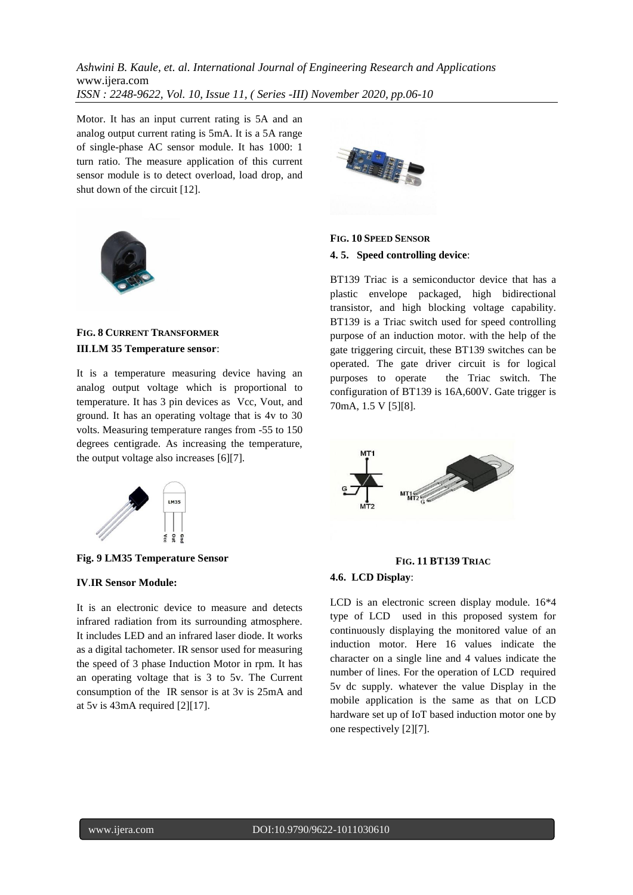Motor. It has an input current rating is 5A and an analog output current rating is 5mA. It is a 5A range of single-phase AC sensor module. It has 1000: 1 turn ratio. The measure application of this current sensor module is to detect overload, load drop, and shut down of the circuit [12].



# **FIG. 8 CURRENT TRANSFORMER III**.**LM 35 Temperature sensor**:

It is a temperature measuring device having an analog output voltage which is proportional to temperature. It has 3 pin devices as Vcc, Vout, and ground. It has an operating voltage that is 4v to 30 volts. Measuring temperature ranges from -55 to 150 degrees centigrade. As increasing the temperature, the output voltage also increases [6][7].



**Fig. 9 LM35 Temperature Sensor**

#### **IV**.**IR Sensor Module:**

It is an electronic device to measure and detects infrared radiation from its surrounding atmosphere. It includes LED and an infrared laser diode. It works as a digital tachometer. IR sensor used for measuring the speed of 3 phase Induction Motor in rpm. It has an operating voltage that is 3 to 5v. The Current consumption of the IR sensor is at 3v is 25mA and at 5v is 43mA required [2][17].



**FIG. 10 SPEED SENSOR 4. 5. Speed controlling device**:

BT139 Triac is a semiconductor device that has a plastic envelope packaged, high bidirectional transistor, and high blocking voltage capability. BT139 is a Triac switch used for speed controlling purpose of an induction motor. with the help of the gate triggering circuit, these BT139 switches can be operated. The gate driver circuit is for logical purposes to operate the Triac switch. The configuration of BT139 is 16A,600V. Gate trigger is 70mA, 1.5 V [5][8].



#### **FIG. 11 BT139 TRIAC**

#### **4.6. LCD Display**:

LCD is an electronic screen display module. 16\*4 type of LCD used in this proposed system for continuously displaying the monitored value of an induction motor. Here 16 values indicate the character on a single line and 4 values indicate the number of lines. For the operation of LCD required 5v dc supply. whatever the value Display in the mobile application is the same as that on LCD hardware set up of IoT based induction motor one by one respectively [2][7].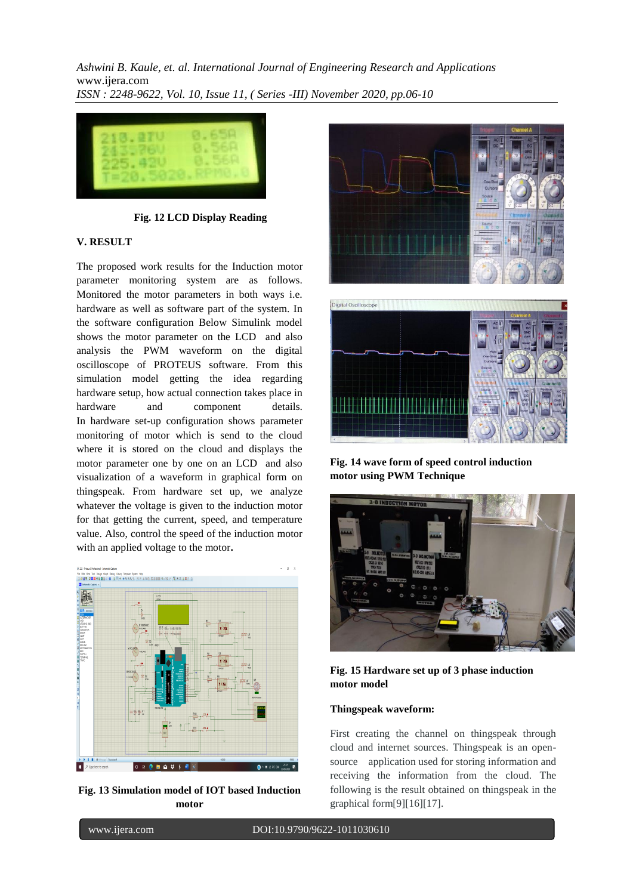

**Fig. 12 LCD Display Reading**

# **V. RESULT**

The proposed work results for the Induction motor parameter monitoring system are as follows. Monitored the motor parameters in both ways i.e. hardware as well as software part of the system. In the software configuration Below Simulink model shows the motor parameter on the LCD and also analysis the PWM waveform on the digital oscilloscope of PROTEUS software. From this simulation model getting the idea regarding hardware setup, how actual connection takes place in hardware and component details. In hardware set-up configuration shows parameter monitoring of motor which is send to the cloud where it is stored on the cloud and displays the motor parameter one by one on an LCD and also visualization of a waveform in graphical form on thingspeak. From hardware set up, we analyze whatever the voltage is given to the induction motor for that getting the current, speed, and temperature value. Also, control the speed of the induction motor with an applied voltage to the motor**.**



**Fig. 13 Simulation model of IOT based Induction motor**



**Fig. 14 wave form of speed control induction motor using PWM Technique**



**Fig. 15 Hardware set up of 3 phase induction motor model**

# **Thingspeak waveform:**

First creating the channel on thingspeak through cloud and internet sources. Thingspeak is an opensource application used for storing information and receiving the information from the cloud. The following is the result obtained on thingspeak in the graphical form[9][16][17].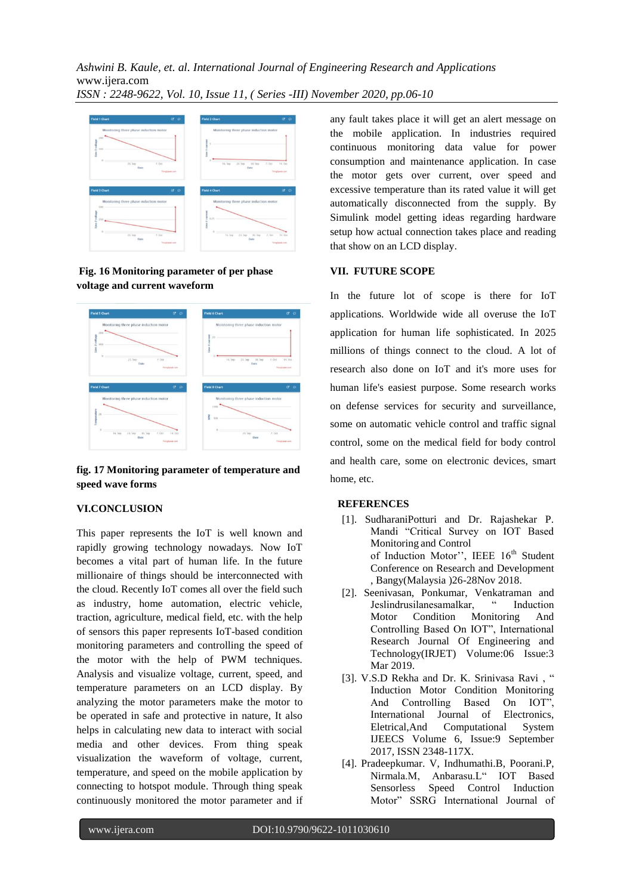

**Fig. 16 Monitoring parameter of per phase voltage and current waveform**



**fig. 17 Monitoring parameter of temperature and speed wave forms**

#### **VI.CONCLUSION**

This paper represents the IoT is well known and rapidly growing technology nowadays. Now IoT becomes a vital part of human life. In the future millionaire of things should be interconnected with the cloud. Recently IoT comes all over the field such as industry, home automation, electric vehicle, traction, agriculture, medical field, etc. with the help of sensors this paper represents IoT-based condition monitoring parameters and controlling the speed of the motor with the help of PWM techniques. Analysis and visualize voltage, current, speed, and temperature parameters on an LCD display. By analyzing the motor parameters make the motor to be operated in safe and protective in nature, It also helps in calculating new data to interact with social media and other devices. From thing speak visualization the waveform of voltage, current, temperature, and speed on the mobile application by connecting to hotspot module. Through thing speak continuously monitored the motor parameter and if

any fault takes place it will get an alert message on the mobile application. In industries required continuous monitoring data value for power consumption and maintenance application. In case the motor gets over current, over speed and excessive temperature than its rated value it will get automatically disconnected from the supply. By Simulink model getting ideas regarding hardware setup how actual connection takes place and reading that show on an LCD display.

#### **VII. FUTURE SCOPE**

In the future lot of scope is there for IoT applications. Worldwide wide all overuse the IoT application for human life sophisticated. In 2025 millions of things connect to the cloud. A lot of research also done on IoT and it's more uses for human life's easiest purpose. Some research works on defense services for security and surveillance, some on automatic vehicle control and traffic signal control, some on the medical field for body control and health care, some on electronic devices, smart home, etc.

#### **REFERENCES**

- [1]. SudharaniPotturi and Dr. Rajashekar P. Mandi "Critical Survey on IOT Based Monitoring and Control of Induction Motor", IEEE 16<sup>th</sup> Student Conference on Research and Development , Bangy(Malaysia )26-28Nov 2018.
- [2]. Seenivasan, Ponkumar, Venkatraman and Jeslindrusilanesamalkar, " Induction Motor Condition Monitoring And Controlling Based On IOT", International Research Journal Of Engineering and Technology(IRJET) Volume:06 Issue:3 Mar 2019.
- [3]. V.S.D Rekha and Dr. K. Srinivasa Ravi , " Induction Motor Condition Monitoring And Controlling Based On IOT", International Journal of Electronics, Eletrical,And Computational System IJEECS Volume 6, Issue:9 September 2017, ISSN 2348-117X.
- [4]. Pradeepkumar. V, Indhumathi.B, Poorani.P, Nirmala.M, Anbarasu.L" IOT Based Sensorless Speed Control Induction Motor" SSRG International Journal of